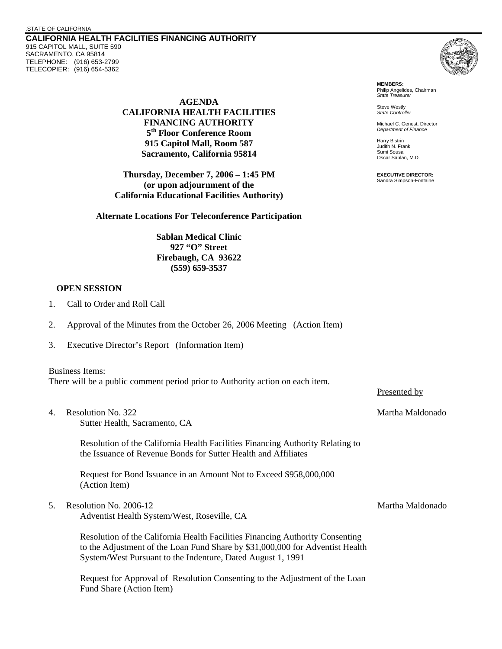## .STATE OF CALIFORNIA

**CALIFORNIA HEALTH FACILITIES FINANCING AUTHORITY**  915 CAPITOL MALL, SUITE 590 SACRAMENTO, CA 95814 TELEPHONE: (916) 653-2799 TELECOPIER: (916) 654-5362



**MEMBERS:** Philip Angelides, Chairman *State Treasurer*

Steve Westly *State Controller* 

Michael C. Genest, Director *Department of Finance*

Harry Bistrin Judith N. Frank Sumi Sousa Oscar Sablan, M.D.

**EXECUTIVE DIRECTOR:** Sandra Simpson-Fontaine

**AGENDA CALIFORNIA HEALTH FACILITIES FINANCING AUTHORITY 5th Floor Conference Room 915 Capitol Mall, Room 587 Sacramento, California 95814** 

**Thursday, December 7, 2006 – 1:45 PM (or upon adjournment of the California Educational Facilities Authority)** 

**Alternate Locations For Teleconference Participation** 

**Sablan Medical Clinic 927 "O" Street Firebaugh, CA 93622 (559) 659-3537** 

## **OPEN SESSION**

- 1. Call to Order and Roll Call
- 2. Approval of the Minutes from the October 26, 2006 Meeting (Action Item)
- 3. Executive Director's Report (Information Item)

## Business Items:

There will be a public comment period prior to Authority action on each item.

4. Resolution No. 322 September 2012 12:33 Natural Maldonado

Sutter Health, Sacramento, CA

Resolution of the California Health Facilities Financing Authority Relating to the Issuance of Revenue Bonds for Sutter Health and Affiliates

Request for Bond Issuance in an Amount Not to Exceed \$958,000,000 (Action Item)

5. Resolution No. 2006-12 September 2006-12 and the separate service of the Martha Maldonado

Adventist Health System/West, Roseville, CA

Resolution of the California Health Facilities Financing Authority Consenting to the Adjustment of the Loan Fund Share by \$31,000,000 for Adventist Health System/West Pursuant to the Indenture, Dated August 1, 1991

Request for Approval of Resolution Consenting to the Adjustment of the Loan Fund Share (Action Item)

Presented by